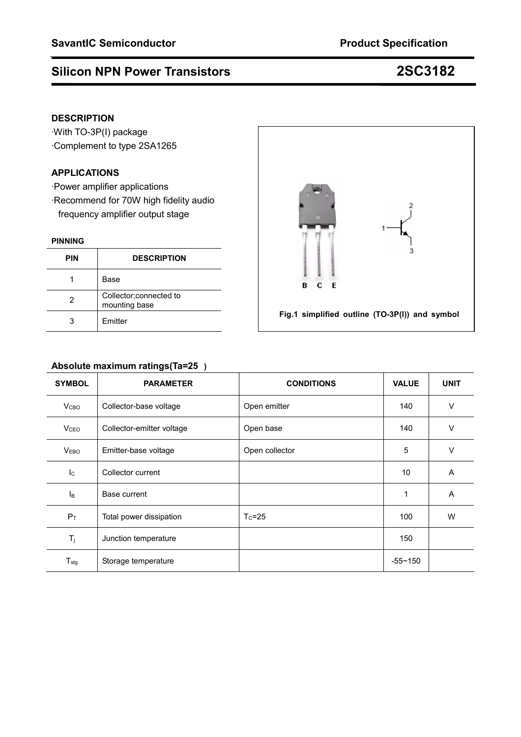### **DESCRIPTION**

·With TO-3P(I) package ·Complement to type 2SA1265

#### **APPLICATIONS**

·Power amplifier applications ·Recommend for 70W high fidelity audio frequency amplifier output stage

#### **PINNING**

| <b>PIN</b> | <b>DESCRIPTION</b>                       |
|------------|------------------------------------------|
|            | Base                                     |
| 2          | Collector; connected to<br>mounting base |
|            | Emitter                                  |



### **Absolute maximum ratings(Ta=25)**

| <b>SYMBOL</b>    | <b>PARAMETER</b>          | <b>CONDITIONS</b> | <b>VALUE</b> | <b>UNIT</b> |
|------------------|---------------------------|-------------------|--------------|-------------|
| V <sub>CBO</sub> | Collector-base voltage    | Open emitter      | 140          | $\vee$      |
| V <sub>CEO</sub> | Collector-emitter voltage | Open base         | 140          | $\vee$      |
| V <sub>EBO</sub> | Emitter-base voltage      | Open collector    | 5            | $\vee$      |
| $I_{\rm C}$      | Collector current         |                   | 10           | A           |
| $I_{\mathsf{B}}$ | Base current              |                   | 1            | A           |
| $P_T$            | Total power dissipation   | $T_c = 25$        | 100          | W           |
| $T_j$            | Junction temperature      |                   | 150          |             |
| $T_{\text{stg}}$ | Storage temperature       |                   | $-55 - 150$  |             |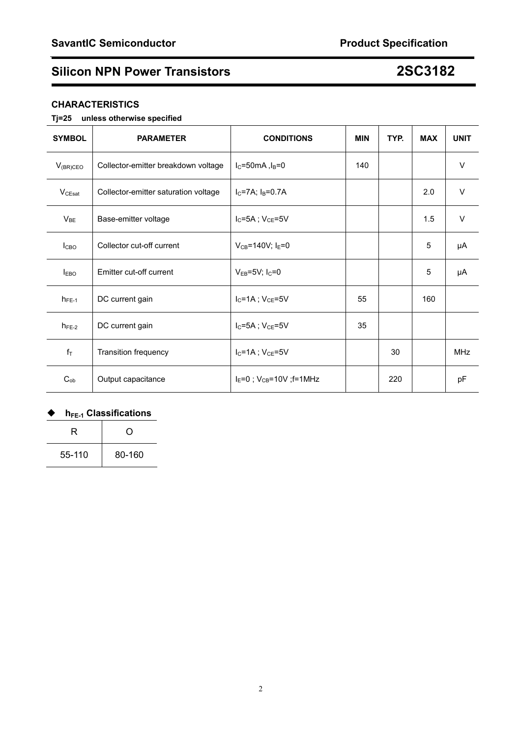### **CHARACTERISTICS**

### **Tj=25 unless otherwise specified**

| <b>SYMBOL</b> | <b>PARAMETER</b>                     | <b>CONDITIONS</b>                   | <b>MIN</b> | TYP. | <b>MAX</b> | <b>UNIT</b> |
|---------------|--------------------------------------|-------------------------------------|------------|------|------------|-------------|
| $V_{(BR)CEO}$ | Collector-emitter breakdown voltage  | $I_C = 50mA, I_B = 0$               | 140        |      |            | $\vee$      |
| $V_{CEsat}$   | Collector-emitter saturation voltage | $I_C = 7A$ ; $I_B = 0.7A$           |            |      | 2.0        | $\vee$      |
| $V_{BE}$      | Base-emitter voltage                 | $I_C = 5A$ ; $V_{CE} = 5V$          |            |      | 1.5        | $\vee$      |
| Ісво          | Collector cut-off current            | $V_{CB} = 140V$ ; $I_E = 0$         |            |      | 5          | μA          |
| <b>IEBO</b>   | Emitter cut-off current              | $V_{EB} = 5V$ ; I <sub>C</sub> =0   |            |      | 5          | μA          |
| $h_{FE-1}$    | DC current gain                      | $I_C = 1A$ ; $V_{CE} = 5V$          | 55         |      | 160        |             |
| $h_{FE-2}$    | DC current gain                      | $I_C = 5A$ ; $V_{CE} = 5V$          | 35         |      |            |             |
| $f_T$         | Transition frequency                 | $I_C = 1A$ ; $V_{CE} = 5V$          |            | 30   |            | <b>MHz</b>  |
| $C_{ob}$      | Output capacitance                   | $I_E = 0$ ; $V_{CB} = 10V$ ; f=1MHz |            | 220  |            | pF          |

### ◆ h<sub>FE-1</sub> Classifications

| R      | 0      |  |
|--------|--------|--|
| 55-110 | 80-160 |  |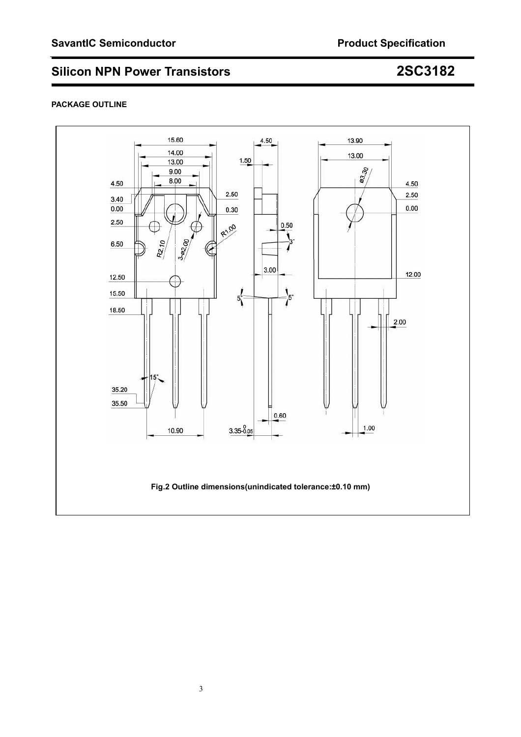#### **PACKAGE OUTLINE**